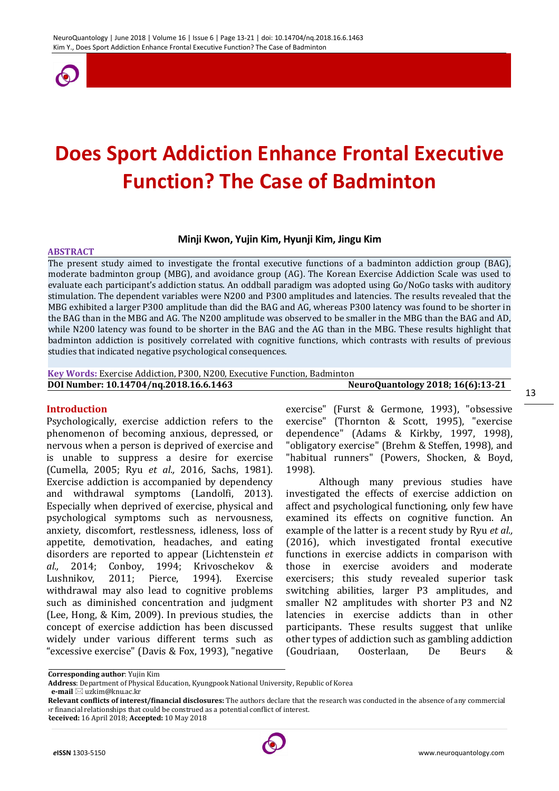

# **Does Sport Addiction Enhance Frontal Executive Function? The Case of Badminton**

#### **Minji Kwon, Yujin Kim, Hyunji Kim, Jingu Kim**

#### **ABSTRACT**

The present study aimed to investigate the frontal executive functions of a badminton addiction group (BAG), moderate badminton group (MBG), and avoidance group (AG). The Korean Exercise Addiction Scale was used to evaluate each participant's addiction status. An oddball paradigm was adopted using Go/NoGo tasks with auditory stimulation. The dependent variables were N200 and P300 amplitudes and latencies. The results revealed that the MBG exhibited a larger P300 amplitude than did the BAG and AG, whereas P300 latency was found to be shorter in the BAG than in the MBG and AG. The N200 amplitude was observed to be smaller in the MBG than the BAG and AD, while N200 latency was found to be shorter in the BAG and the AG than in the MBG. These results highlight that badminton addiction is positively correlated with cognitive functions, which contrasts with results of previous studies that indicated negative psychological consequences.

**Key Words:** Exercise Addiction, P300, N200, Executive Function, Badminton **DOI Number: 10.14704/nq.2018.16.6.1463 NeuroQuantology 2018; 16(6):13-21**

#### **Introduction**

Psychologically, exercise addiction refers to the phenomenon of becoming anxious, depressed, or nervous when a person is deprived of exercise and is unable to suppress a desire for exercise (Cumella, 2005; Ryu *et al.,* 2016, Sachs, 1981). Exercise addiction is accompanied by dependency and withdrawal symptoms (Landolfi, 2013). Especially when deprived of exercise, physical and psychological symptoms such as nervousness, anxiety, discomfort, restlessness, idleness, loss of appetite, demotivation, headaches, and eating disorders are reported to appear (Lichtenstein *et al.,* 2014; Conboy, 1994; Krivoschekov & Lushnikov, 2011; Pierce, 1994). Exercise withdrawal may also lead to cognitive problems such as diminished concentration and judgment (Lee, Hong, & Kim, 2009). In previous studies, the concept of exercise addiction has been discussed widely under various different terms such as "excessive exercise" (Davis & Fox, 1993), "negative

exercise" (Furst & Germone, 1993), "obsessive exercise" (Thornton & Scott, 1995), "exercise dependence" (Adams & Kirkby, 1997, 1998), "obligatory exercise" (Brehm & Steffen, 1998), and "habitual runners" (Powers, Shocken, & Boyd, 1998).

Although many previous studies have investigated the effects of exercise addiction on affect and psychological functioning, only few have examined its effects on cognitive function. An example of the latter is a recent study by Ryu *et al.,* (2016), which investigated frontal executive functions in exercise addicts in comparison with those in exercise avoiders and moderate exercisers; this study revealed superior task switching abilities, larger P3 amplitudes, and smaller N2 amplitudes with shorter P3 and N2 latencies in exercise addicts than in other participants. These results suggest that unlike other types of addiction such as gambling addiction (Goudriaan, Oosterlaan, De Beurs &

**Corresponding author**: Yujin Kim

**Address**: Department of Physical Education, Kyungpook National University, Republic of Korea

**e-mail** uzkim@knu.ac.kr

**Relevant conflicts of interest/financial disclosures:** The authors declare that the research was conducted in the absence of any commercial or financial relationships that could be construed as a potential conflict of interest.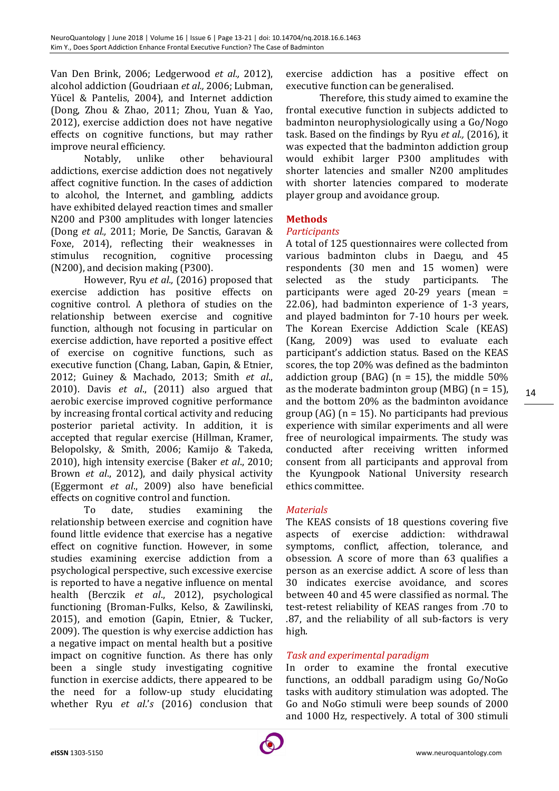Van Den Brink, 2006; Ledgerwood *et al.,* 2012), alcohol addiction (Goudriaan *et al.,* 2006; Lubman, Yücel & Pantelis, 2004), and Internet addiction (Dong, Zhou & Zhao, 2011; Zhou, Yuan & Yao, 2012), exercise addiction does not have negative effects on cognitive functions, but may rather improve neural efficiency.

Notably, unlike other behavioural addictions, exercise addiction does not negatively affect cognitive function. In the cases of addiction to alcohol, the Internet, and gambling, addicts have exhibited delayed reaction times and smaller N200 and P300 amplitudes with longer latencies (Dong *et al.,* 2011; Morie, De Sanctis, Garavan & Foxe, 2014), reflecting their weaknesses in stimulus recognition, cognitive processing (N200), and decision making (P300).

However, Ryu *et al.,* (2016) proposed that exercise addiction has positive effects on cognitive control. A plethora of studies on the relationship between exercise and cognitive function, although not focusing in particular on exercise addiction, have reported a positive effect of exercise on cognitive functions, such as executive function (Chang, Laban, Gapin, & Etnier, 2012; Guiney & Machado, 2013; Smith *et al*., 2010). Davis *et al*., (2011) also argued that aerobic exercise improved cognitive performance by increasing frontal cortical activity and reducing posterior parietal activity. In addition, it is accepted that regular exercise (Hillman, Kramer, Belopolsky, & Smith, 2006; Kamijo & Takeda, 2010), high intensity exercise (Baker *et al*., 2010; Brown *et al*., 2012), and daily physical activity (Eggermont *et al*., 2009) also have beneficial effects on cognitive control and function.

To date, studies examining the relationship between exercise and cognition have found little evidence that exercise has a negative effect on cognitive function. However, in some studies examining exercise addiction from a psychological perspective, such excessive exercise is reported to have a negative influence on mental health (Berczik *et al*., 2012), psychological functioning (Broman-Fulks, Kelso, & Zawilinski, 2015), and emotion (Gapin, Etnier, & Tucker, 2009). The question is why exercise addiction has a negative impact on mental health but a positive impact on cognitive function. As there has only been a single study investigating cognitive function in exercise addicts, there appeared to be the need for a follow-up study elucidating whether Ryu *et al*.'*s* (2016) conclusion that

exercise addiction has a positive effect on executive function can be generalised.

Therefore, this study aimed to examine the frontal executive function in subjects addicted to badminton neurophysiologically using a Go/Nogo task. Based on the findings by Ryu *et al.,* (2016), it was expected that the badminton addiction group would exhibit larger P300 amplitudes with shorter latencies and smaller N200 amplitudes with shorter latencies compared to moderate player group and avoidance group.

# **Methods**

## *Participants*

A total of 125 questionnaires were collected from various badminton clubs in Daegu, and 45 respondents (30 men and 15 women) were selected as the study participants. The participants were aged 20-29 years (mean = 22.06), had badminton experience of 1-3 years, and played badminton for 7-10 hours per week. The Korean Exercise Addiction Scale (KEAS) (Kang, 2009) was used to evaluate each participant's addiction status. Based on the KEAS scores, the top 20% was defined as the badminton addiction group (BAG) ( $n = 15$ ), the middle 50% as the moderate badminton group (MBG)  $(n = 15)$ , and the bottom 20% as the badminton avoidance group (AG) (n = 15). No participants had previous experience with similar experiments and all were free of neurological impairments. The study was conducted after receiving written informed consent from all participants and approval from the Kyungpook National University research ethics committee.

## *Materials*

The KEAS consists of 18 questions covering five aspects of exercise addiction: withdrawal symptoms, conflict, affection, tolerance, and obsession. A score of more than 63 qualifies a person as an exercise addict. A score of less than 30 indicates exercise avoidance, and scores between 40 and 45 were classified as normal. The test-retest reliability of KEAS ranges from .70 to .87, and the reliability of all sub-factors is very high.

# *Task and experimental paradigm*

In order to examine the frontal executive functions, an oddball paradigm using Go/NoGo tasks with auditory stimulation was adopted. The Go and NoGo stimuli were beep sounds of 2000 and 1000 Hz, respectively. A total of 300 stimuli

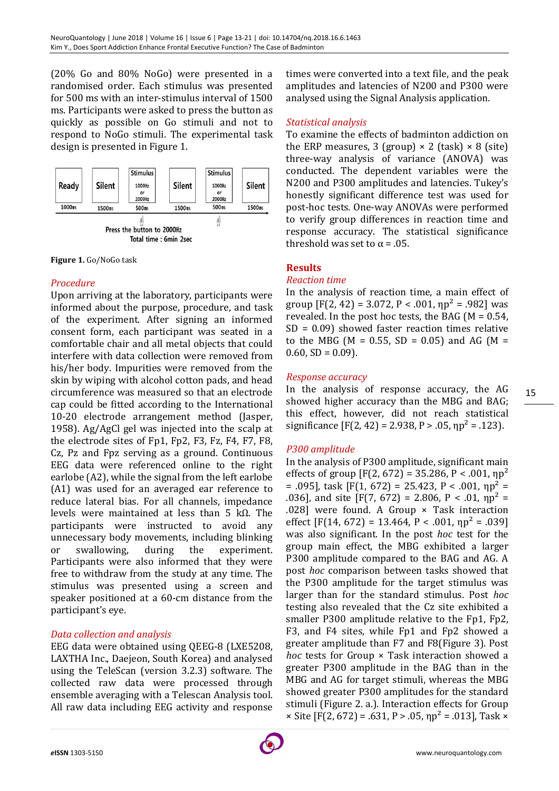(20% Go and 80% NoGo) were presented in a randomised order. Each stimulus was presented for 500 ms with an inter-stimulus interval of 1500 ms. Participants were asked to press the button as quickly as possible on Go stimuli and not to respond to NoGo stimuli. The experimental task design is presented in Figure 1.



**Figure 1.** Go/NoGo task

## *Procedure*

Upon arriving at the laboratory, participants were informed about the purpose, procedure, and task of the experiment. After signing an informed consent form, each participant was seated in a comfortable chair and all metal objects that could interfere with data collection were removed from his/her body. Impurities were removed from the skin by wiping with alcohol cotton pads, and head circumference was measured so that an electrode cap could be fitted according to the International 10-20 electrode arrangement method (Jasper, 1958). Ag/AgCl gel was injected into the scalp at the electrode sites of Fp1, Fp2, F3, Fz, F4, F7, F8, Cz, Pz and Fpz serving as a ground. Continuous EEG data were referenced online to the right earlobe (A2), while the signal from the left earlobe (A1) was used for an averaged ear reference to reduce lateral bias. For all channels, impedance levels were maintained at less than 5 kΩ. The participants were instructed to avoid any unnecessary body movements, including blinking or swallowing, during the experiment. Participants were also informed that they were free to withdraw from the study at any time. The stimulus was presented using a screen and speaker positioned at a 60-cm distance from the participant's eye.

## *Data collection and analysis*

EEG data were obtained using QEEG-8 (LXE5208, LAXTHA Inc., Daejeon, South Korea) and analysed using the TeleScan (version 3.2.3) software. The collected raw data were processed through ensemble averaging with a Telescan Analysis tool. All raw data including EEG activity and response

times were converted into a text file, and the peak amplitudes and latencies of N200 and P300 were analysed using the Signal Analysis application.

## *Statistical analysis*

To examine the effects of badminton addiction on the ERP measures, 3 (group)  $\times$  2 (task)  $\times$  8 (site) three-way analysis of variance (ANOVA) was conducted. The dependent variables were the N200 and P300 amplitudes and latencies. Tukey's honestly significant difference test was used for post-hoc tests. One-way ANOVAs were performed to verify group differences in reaction time and response accuracy. The statistical significance threshold was set to  $\alpha = .05$ .

# **Results**

## *Reaction time*

In the analysis of reaction time, a main effect of group  $[F(2, 42) = 3.072, P < .001, \eta p^2 = .982]$  was revealed. In the post hoc tests, the BAG  $(M = 0.54)$ , SD = 0.09) showed faster reaction times relative to the MBG ( $M = 0.55$ , SD = 0.05) and AG ( $M =$  $0.60$ , SD =  $0.09$ ).

### *Response accuracy*

In the analysis of response accuracy, the AG showed higher accuracy than the MBG and BAG; this effect, however, did not reach statistical significance  $[F(2, 42) = 2.938, P > .05, \eta p^2 = .123]$ .

## *P300 amplitude*

In the analysis of P300 amplitude, significant main effects of group  $[F(2, 672) = 35.286, P < .001, np^2]$  $= .095$ ], task [F(1, 672) = 25.423, P < .001,  $np^2$  = .036], and site  $[F(7, 672) = 2.806, P < .01, \eta p^2 =$ .028] were found. A Group  $\times$  Task interaction effect [F(14, 672] = 13.464, P < .001,  $np^2$  = .039] was also significant. In the post *hoc* test for the group main effect, the MBG exhibited a larger P300 amplitude compared to the BAG and AG. A post *hoc* comparison between tasks showed that the P300 amplitude for the target stimulus was larger than for the standard stimulus. Post *hoc* testing also revealed that the Cz site exhibited a smaller P300 amplitude relative to the Fp1, Fp2, F3, and F4 sites, while Fp1 and Fp2 showed a greater amplitude than F7 and F8(Figure 3). Post *hoc* tests for Group × Task interaction showed a greater P300 amplitude in the BAG than in the MBG and AG for target stimuli, whereas the MBG showed greater P300 amplitudes for the standard stimuli (Figure 2. a.). Interaction effects for Group  $\times$  Site [F(2, 672) = .631, P > .05, np<sup>2</sup> = .013], Task  $\times$ 

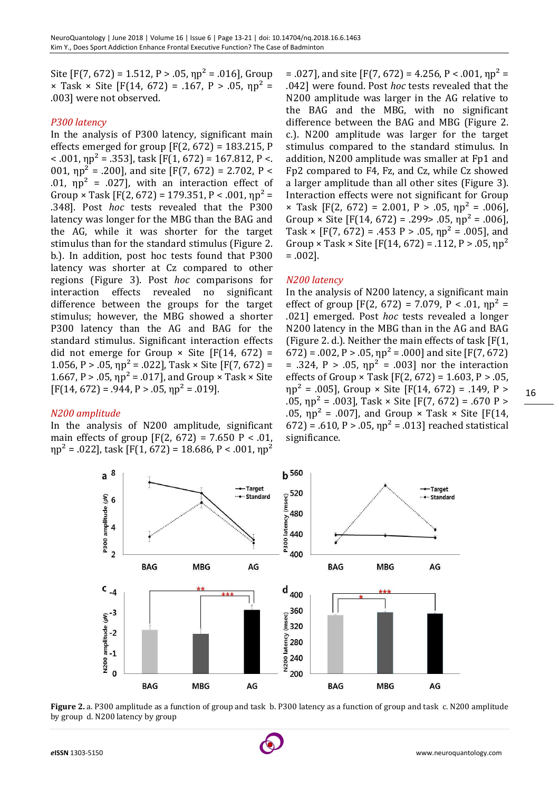Site  $[F(7, 672) = 1.512, P > .05, \eta p^2 = .016]$ , Group  $\times$  Task  $\times$  Site [F(14, 672) = .167, P > .05,  $np^2$  = .003] were not observed.

#### *P300 latency*

In the analysis of P300 latency, significant main effects emerged for group  $[F(2, 672) = 183.215, P]$  $<$  .001,  $np^2$  = .353], task [F(1, 672) = 167.812, P <. 001,  $np^2$  = .200], and site [F(7, 672) = 2.702, P < .01,  $np^2 = .027$ ], with an interaction effect of Group × Task [F(2, 672) = 179.351, P < .001,  $np^2$  = .348]. Post *hoc* tests revealed that the P300 latency was longer for the MBG than the BAG and the AG, while it was shorter for the target stimulus than for the standard stimulus (Figure 2. b.). In addition, post hoc tests found that P300 latency was shorter at Cz compared to other regions (Figure 3). Post *hoc* comparisons for interaction effects revealed no significant difference between the groups for the target stimulus; however, the MBG showed a shorter P300 latency than the AG and BAG for the standard stimulus. Significant interaction effects did not emerge for Group  $\times$  Site [F(14, 672) = 1.056, P > .05,  $np^2$  = .022], Task × Site [F(7, 672) = 1.667, P > .05,  $np^2$  = .017], and Group × Task × Site  $[F(14, 672) = .944, P > .05, \eta p^2 = .019].$ 

#### *N200 amplitude*

In the analysis of N200 amplitude, significant main effects of group  $[F(2, 672) = 7.650 P < .01,$  $np^2 = .022$ ], task [F(1, 672) = 18.686, P < .001, np<sup>2</sup>

 $= .027$ ], and site [F(7, 672) = 4.256, P < .001,  $np^2$  = .042] were found. Post *hoc* tests revealed that the N200 amplitude was larger in the AG relative to the BAG and the MBG, with no significant difference between the BAG and MBG (Figure 2. c.). N200 amplitude was larger for the target stimulus compared to the standard stimulus. In addition, N200 amplitude was smaller at Fp1 and Fp2 compared to F4, Fz, and Cz, while Cz showed a larger amplitude than all other sites (Figure 3). Interaction effects were not significant for Group  $\times$  Task [F(2, 672) = 2.001, P > .05,  $np^2$  = .006], Group × Site [F(14, 672) = .299> .05,  $np^2$  = .006], Task  $\times$  [F(7, 672) = .453 P > .05,  $np^2$  = .005], and Group  $\times$  Task  $\times$  Site [F(14, 672) = .112, P  $> .05$ , np<sup>2</sup>  $= .002$ ].

#### *N200 latency*

In the analysis of N200 latency, a significant main effect of group  $[F(2, 672) = 7.079, P < .01, np^2 =$ .021] emerged. Post *hoc* tests revealed a longer N200 latency in the MBG than in the AG and BAG (Figure 2. d.). Neither the main effects of task [F(1,  $(672) = .002$ , P >  $.05$ ,  $np^2 = .000$ ] and site [F(7, 672)  $= .324$ ,  $P > .05$ ,  $np^2 = .003$  nor the interaction effects of Group  $\times$  Task [F(2, 672) = 1.603, P  $> 0.05$ ,  $np^2 = .005$ , Group  $\times$  Site [F(14, 672) = .149, P > .05,  $np^2 = .003$ , Task × Site [F(7, 672) = .670 P > .05,  $np^2$  = .007], and Group × Task × Site [F(14,  $(672) = .610$ , P >  $.05$ ,  $np^2 = .013$  reached statistical significance.



**Figure 2.** a. P300 amplitude as a function of group and task b. P300 latency as a function of group and task c. N200 amplitude by group d. N200 latency by group

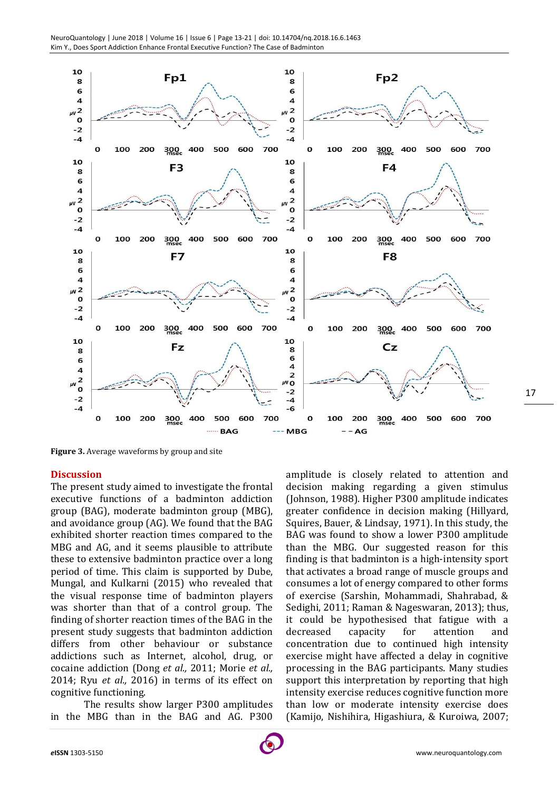

**Figure 3.** Average waveforms by group and site

#### **Discussion**

The present study aimed to investigate the frontal executive functions of a badminton addiction group (BAG), moderate badminton group (MBG), and avoidance group (AG). We found that the BAG exhibited shorter reaction times compared to the MBG and AG, and it seems plausible to attribute these to extensive badminton practice over a long period of time. This claim is supported by Dube, Mungal, and Kulkarni (2015) who revealed that the visual response time of badminton players was shorter than that of a control group. The finding of shorter reaction times of the BAG in the present study suggests that badminton addiction differs from other behaviour or substance addictions such as Internet, alcohol, drug, or cocaine addiction (Dong *et al.,* 2011; Morie *et al.,* 2014; Ryu *et al.,* 2016) in terms of its effect on cognitive functioning.

The results show larger P300 amplitudes in the MBG than in the BAG and AG. P300 amplitude is closely related to attention and decision making regarding a given stimulus (Johnson, 1988). Higher P300 amplitude indicates greater confidence in decision making (Hillyard, Squires, Bauer, & Lindsay, 1971). In this study, the BAG was found to show a lower P300 amplitude than the MBG. Our suggested reason for this finding is that badminton is a high-intensity sport that activates a broad range of muscle groups and consumes a lot of energy compared to other forms of exercise (Sarshin, Mohammadi, Shahrabad, & Sedighi, 2011; Raman & Nageswaran, 2013); thus, it could be hypothesised that fatigue with a decreased capacity for attention and concentration due to continued high intensity exercise might have affected a delay in cognitive processing in the BAG participants. Many studies support this interpretation by reporting that high intensity exercise reduces cognitive function more than low or moderate intensity exercise does (Kamijo, Nishihira, Higashiura, & Kuroiwa, 2007;

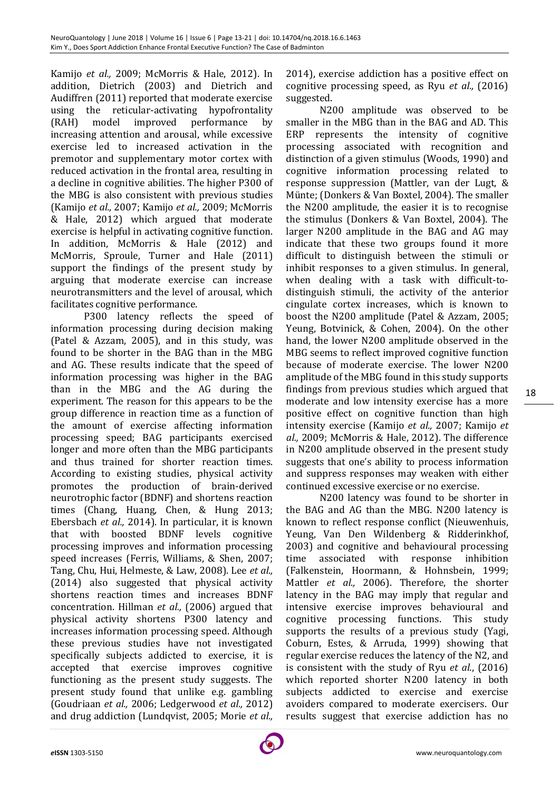Kamijo *et al.,* 2009; McMorris & Hale, 2012). In addition, Dietrich (2003) and Dietrich and Audiffren (2011) reported that moderate exercise using the reticular-activating hypofrontality (RAH) model improved performance by increasing attention and arousal, while excessive exercise led to increased activation in the premotor and supplementary motor cortex with reduced activation in the frontal area, resulting in a decline in cognitive abilities. The higher P300 of the MBG is also consistent with previous studies (Kamijo *et al.,* 2007; Kamijo *et al.,* 2009; McMorris & Hale, 2012) which argued that moderate exercise is helpful in activating cognitive function. In addition, McMorris & Hale (2012) and McMorris, Sproule, Turner and Hale (2011) support the findings of the present study by arguing that moderate exercise can increase neurotransmitters and the level of arousal, which facilitates cognitive performance.

P300 latency reflects the speed of information processing during decision making (Patel & Azzam, 2005), and in this study, was found to be shorter in the BAG than in the MBG and AG. These results indicate that the speed of information processing was higher in the BAG than in the MBG and the AG during the experiment. The reason for this appears to be the group difference in reaction time as a function of the amount of exercise affecting information processing speed; BAG participants exercised longer and more often than the MBG participants and thus trained for shorter reaction times. According to existing studies, physical activity promotes the production of brain-derived neurotrophic factor (BDNF) and shortens reaction times (Chang, Huang, Chen, & Hung 2013; Ebersbach *et al.,* 2014). In particular, it is known that with boosted BDNF levels cognitive processing improves and information processing speed increases (Ferris, Williams, & Shen, 2007; Tang, Chu, Hui, Helmeste, & Law, 2008). Lee *et al.,* (2014) also suggested that physical activity shortens reaction times and increases BDNF concentration. Hillman *et al.,* (2006) argued that physical activity shortens P300 latency and increases information processing speed. Although these previous studies have not investigated specifically subjects addicted to exercise, it is accepted that exercise improves cognitive functioning as the present study suggests. The present study found that unlike e.g. gambling (Goudriaan *et al.,* 2006; Ledgerwood *et al.,* 2012) and drug addiction (Lundqvist, 2005; Morie *et al.,*

2014), exercise addiction has a positive effect on cognitive processing speed, as Ryu *et al.,* (2016) suggested.

N200 amplitude was observed to be smaller in the MBG than in the BAG and AD. This ERP represents the intensity of cognitive processing associated with recognition and distinction of a given stimulus (Woods, 1990) and cognitive information processing related to response suppression (Mattler, van der Lugt, & Münte; (Donkers & Van Boxtel, 2004). The smaller the N200 amplitude, the easier it is to recognise the stimulus (Donkers & Van Boxtel, 2004). The larger N200 amplitude in the BAG and AG may indicate that these two groups found it more difficult to distinguish between the stimuli or inhibit responses to a given stimulus. In general, when dealing with a task with difficult-todistinguish stimuli, the activity of the anterior cingulate cortex increases, which is known to boost the N200 amplitude (Patel & Azzam, 2005; Yeung, Botvinick, & Cohen, 2004). On the other hand, the lower N200 amplitude observed in the MBG seems to reflect improved cognitive function because of moderate exercise. The lower N200 amplitude of the MBG found in this study supports findings from previous studies which argued that moderate and low intensity exercise has a more positive effect on cognitive function than high intensity exercise (Kamijo *et al.,* 2007; Kamijo *et al.,* 2009; McMorris & Hale, 2012). The difference in N200 amplitude observed in the present study suggests that one's ability to process information and suppress responses may weaken with either continued excessive exercise or no exercise.

N200 latency was found to be shorter in the BAG and AG than the MBG. N200 latency is known to reflect response conflict (Nieuwenhuis, Yeung, Van Den Wildenberg & Ridderinkhof, 2003) and cognitive and behavioural processing time associated with response inhibition (Falkenstein, Hoormann, & Hohnsbein, 1999; Mattler *et al.,* 2006). Therefore, the shorter latency in the BAG may imply that regular and intensive exercise improves behavioural and cognitive processing functions. This study supports the results of a previous study (Yagi, Coburn, Estes, & Arruda, 1999) showing that regular exercise reduces the latency of the N2, and is consistent with the study of Ryu *et al.*, (2016) which reported shorter N200 latency in both subjects addicted to exercise and exercise avoiders compared to moderate exercisers. Our results suggest that exercise addiction has no

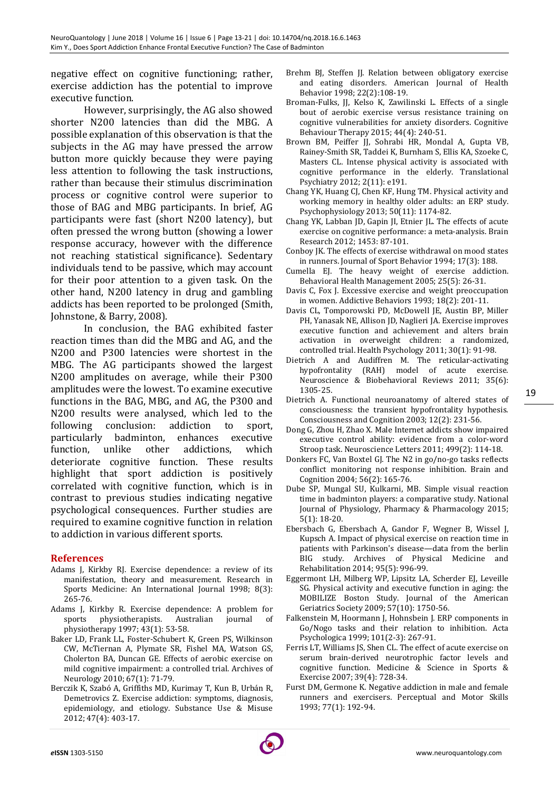negative effect on cognitive functioning; rather, exercise addiction has the potential to improve executive function.

However, surprisingly, the AG also showed shorter N200 latencies than did the MBG. A possible explanation of this observation is that the subjects in the AG may have pressed the arrow button more quickly because they were paying less attention to following the task instructions, rather than because their stimulus discrimination process or cognitive control were superior to those of BAG and MBG participants. In brief, AG participants were fast (short N200 latency), but often pressed the wrong button (showing a lower response accuracy, however with the difference not reaching statistical significance). Sedentary individuals tend to be passive, which may account for their poor attention to a given task. On the other hand, N200 latency in drug and gambling addicts has been reported to be prolonged (Smith, Johnstone, & Barry, 2008).

In conclusion, the BAG exhibited faster reaction times than did the MBG and AG, and the N200 and P300 latencies were shortest in the MBG. The AG participants showed the largest N200 amplitudes on average, while their P300 amplitudes were the lowest. To examine executive functions in the BAG, MBG, and AG, the P300 and N200 results were analysed, which led to the following conclusion: addiction to sport, particularly badminton, enhances executive function, unlike other addictions, which deteriorate cognitive function. These results highlight that sport addiction is positively correlated with cognitive function, which is in contrast to previous studies indicating negative psychological consequences. Further studies are required to examine cognitive function in relation to addiction in various different sports.

#### **References**

- Adams J, Kirkby RJ. Exercise dependence: a review of its manifestation, theory and measurement. Research in Sports Medicine: An International Journal 1998; 8(3): 265-76.
- Adams J, Kirkby R. Exercise dependence: A problem for sports physiotherapists. Australian journal of physiotherapy 1997; 43(1): 53-58.
- Baker LD, Frank LL, Foster-Schubert K, Green PS, Wilkinson CW, McTiernan A, Plymate SR, Fishel MA, Watson GS, Cholerton BA, Duncan GE. Effects of aerobic exercise on mild cognitive impairment: a controlled trial. Archives of Neurology 2010; 67(1): 71-79.
- Berczik K, Szabó A, Griffiths MD, Kurimay T, Kun B, Urbán R, Demetrovics Z. Exercise addiction: symptoms, diagnosis, epidemiology, and etiology. Substance Use & Misuse 2012; 47(4): 403-17.
- Brehm BJ, Steffen JJ. Relation between obligatory exercise and eating disorders. American Journal of Health Behavior 1998; 22(2):108-19.
- Broman-Fulks, JJ, Kelso K, Zawilinski L. Effects of a single bout of aerobic exercise versus resistance training on cognitive vulnerabilities for anxiety disorders. Cognitive Behaviour Therapy 2015; 44(4): 240-51.
- Brown BM, Peiffer JJ, Sohrabi HR, Mondal A, Gupta VB, Rainey-Smith SR, Taddei K, Burnham S, Ellis KA, Szoeke C, Masters CL. Intense physical activity is associated with cognitive performance in the elderly. Translational Psychiatry 2012; 2(11): e191.
- Chang YK, Huang CJ, Chen KF, Hung TM. Physical activity and working memory in healthy older adults: an ERP study. Psychophysiology 2013; 50(11): 1174-82.
- Chang YK, Labban JD, Gapin JI, Etnier JL. The effects of acute exercise on cognitive performance: a meta-analysis. Brain Research 2012; 1453: 87-101.
- Conboy JK. The effects of exercise withdrawal on mood states in runners. Journal of Sport Behavior 1994; 17(3): 188.
- Cumella EJ. The heavy weight of exercise addiction. Behavioral Health Management 2005; 25(5): 26-31.
- Davis C, Fox J. Excessive exercise and weight preoccupation in women. Addictive Behaviors 1993; 18(2): 201-11.
- Davis CL, Tomporowski PD, McDowell JE, Austin BP, Miller PH, Yanasak NE, Allison JD, Naglieri JA. Exercise improves executive function and achievement and alters brain activation in overweight children: a randomized, controlled trial. Health Psychology 2011; 30(1): 91-98.
- Dietrich A and Audiffren M. The reticular-activating hypofrontality (RAH) model of acute exercise. Neuroscience & Biobehavioral Reviews 2011; 35(6): 1305-25.
- Dietrich A. Functional neuroanatomy of altered states of consciousness: the transient hypofrontality hypothesis. Consciousness and Cognition 2003; 12(2): 231-56.
- Dong G, Zhou H, Zhao X. Male Internet addicts show impaired executive control ability: evidence from a color-word Stroop task. Neuroscience Letters 2011; 499(2): 114-18.
- Donkers FC, Van Boxtel GJ. The N2 in go/no-go tasks reflects conflict monitoring not response inhibition. Brain and Cognition 2004; 56(2): 165-76.
- Dube SP, Mungal SU, Kulkarni, MB. Simple visual reaction time in badminton players: a comparative study. National Journal of Physiology, Pharmacy & Pharmacology 2015; 5(1): 18-20.
- Ebersbach G, Ebersbach A, Gandor F, Wegner B, Wissel J, Kupsch A. Impact of physical exercise on reaction time in patients with Parkinson's disease—data from the berlin BIG study. Archives of Physical Medicine and Rehabilitation 2014; 95(5): 996-99.
- Eggermont LH, Milberg WP, Lipsitz LA, Scherder EJ, Leveille SG. Physical activity and executive function in aging: the MOBILIZE Boston Study. Journal of the American Geriatrics Society 2009; 57(10): 1750-56.
- Falkenstein M, Hoormann J, Hohnsbein J. ERP components in Go/Nogo tasks and their relation to inhibition. Acta Psychologica 1999; 101(2-3): 267-91.
- Ferris LT, Williams JS, Shen CL. The effect of acute exercise on serum brain-derived neurotrophic factor levels and cognitive function. Medicine & Science in Sports & Exercise 2007; 39(4): 728-34.
- Furst DM, Germone K. Negative addiction in male and female runners and exercisers. Perceptual and Motor Skills 1993; 77(1): 192-94.

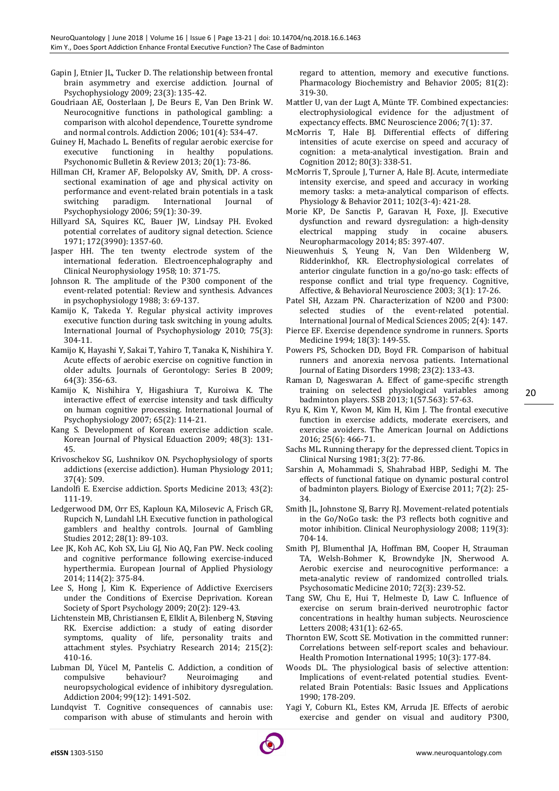- Gapin J, Etnier JL, Tucker D. The relationship between frontal brain asymmetry and exercise addiction. Journal of Psychophysiology 2009; 23(3): 135-42.
- Goudriaan AE, Oosterlaan J, De Beurs E, Van Den Brink W. Neurocognitive functions in pathological gambling: a comparison with alcohol dependence, Tourette syndrome and normal controls. Addiction 2006; 101(4): 534-47.
- Guiney H, Machado L. Benefits of regular aerobic exercise for executive functioning in healthy populations. Psychonomic Bulletin & Review 2013; 20(1): 73-86.
- Hillman CH, Kramer AF, Belopolsky AV, Smith, DP. A crosssectional examination of age and physical activity on performance and event-related brain potentials in a task switching paradigm. International Journal of Psychophysiology 2006; 59(1): 30-39.
- Hillyard SA, Squires KC, Bauer JW, Lindsay PH. Evoked potential correlates of auditory signal detection. Science 1971; 172(3990): 1357-60.
- Jasper HH. The ten twenty electrode system of the international federation. Electroencephalography and Clinical Neurophysiology 1958; 10: 371-75.
- Johnson R. The amplitude of the P300 component of the event-related potential: Review and synthesis. Advances in psychophysiology 1988; 3: 69-137.
- Kamijo K, Takeda Y. Regular physical activity improves executive function during task switching in young adults. International Journal of Psychophysiology 2010; 75(3): 304-11.
- Kamijo K, Hayashi Y, Sakai T, Yahiro T, Tanaka K, Nishihira Y. Acute effects of aerobic exercise on cognitive function in older adults. Journals of Gerontology: Series B 2009; 64(3): 356-63.
- Kamijo K, Nishihira Y, Higashiura T, Kuroiwa K. The interactive effect of exercise intensity and task difficulty on human cognitive processing. International Journal of Psychophysiology 2007; 65(2): 114-21.
- Kang S. Development of Korean exercise addiction scale. Korean Journal of Physical Eduaction 2009; 48(3): 131- 45.
- Krivoschekov SG, Lushnikov ON. Psychophysiology of sports addictions (exercise addiction). Human Physiology 2011; 37(4): 509.
- Landolfi E. Exercise addiction. Sports Medicine 2013; 43(2): 111-19.
- Ledgerwood DM, Orr ES, Kaploun KA, Milosevic A, Frisch GR, Rupcich N, Lundahl LH. Executive function in pathological gamblers and healthy controls. Journal of Gambling Studies 2012; 28(1): 89-103.
- Lee JK, Koh AC, Koh SX, Liu GJ, Nio AQ, Fan PW. Neck cooling and cognitive performance following exercise-induced hyperthermia. European Journal of Applied Physiology 2014; 114(2): 375-84.
- Lee S, Hong J, Kim K. Experience of Addictive Exercisers under the Conditions of Exercise Deprivation. Korean Society of Sport Psychology 2009; 20(2): 129-43.
- Lichtenstein MB, Christiansen E, Elklit A, Bilenberg N, Støving RK. Exercise addiction: a study of eating disorder symptoms, quality of life, personality traits and attachment styles. Psychiatry Research 2014; 215(2): 410-16.
- Lubman DI, Yücel M, Pantelis C. Addiction, a condition of compulsive behaviour? Neuroimaging and neuropsychological evidence of inhibitory dysregulation. Addiction 2004; 99(12): 1491-502.
- Lundqvist T. Cognitive consequences of cannabis use: comparison with abuse of stimulants and heroin with

regard to attention, memory and executive functions. Pharmacology Biochemistry and Behavior 2005; 81(2): 319-30.

- Mattler U, van der Lugt A, Münte TF. Combined expectancies: electrophysiological evidence for the adjustment of expectancy effects. BMC Neuroscience 2006; 7(1): 37.
- McMorris T, Hale BJ. Differential effects of differing intensities of acute exercise on speed and accuracy of cognition: a meta-analytical investigation. Brain and Cognition 2012; 80(3): 338-51.
- McMorris T, Sproule J, Turner A, Hale BJ. Acute, intermediate intensity exercise, and speed and accuracy in working memory tasks: a meta-analytical comparison of effects. Physiology & Behavior 2011; 102(3-4): 421-28.
- Morie KP, De Sanctis P, Garavan H, Foxe, JJ. Executive dysfunction and reward dysregulation: a high-density electrical mapping study in cocaine abusers. Neuropharmacology 2014; 85: 397-407.
- Nieuwenhuis S, Yeung N, Van Den Wildenberg W, Ridderinkhof, KR. Electrophysiological correlates of anterior cingulate function in a go/no-go task: effects of response conflict and trial type frequency. Cognitive, Affective, & Behavioral Neuroscience 2003; 3(1): 17-26.
- Patel SH, Azzam PN. Characterization of N200 and P300: selected studies of the event-related potential. International Journal of Medical Sciences 2005; 2(4): 147.
- Pierce EF. Exercise dependence syndrome in runners. Sports Medicine 1994; 18(3): 149-55.
- Powers PS, Schocken DD, Boyd FR. Comparison of habitual runners and anorexia nervosa patients. International Journal of Eating Disorders 1998; 23(2): 133-43.
- Raman D, Nageswaran A. Effect of game-specific strength training on selected physiological variables among badminton players. SSB 2013; 1(57.563): 57-63.
- Ryu K, Kim Y, Kwon M, Kim H, Kim J. The frontal executive function in exercise addicts, moderate exercisers, and exercise avoiders. The American Journal on Addictions 2016; 25(6): 466-71.
- Sachs ML. Running therapy for the depressed client. Topics in Clinical Nursing 1981; 3(2): 77-86.
- Sarshin A, Mohammadi S, Shahrabad HBP, Sedighi M. The effects of functional fatique on dynamic postural control of badminton players. Biology of Exercise 2011; 7(2): 25- 34.
- Smith JL, Johnstone SJ, Barry RJ. Movement-related potentials in the Go/NoGo task: the P3 reflects both cognitive and motor inhibition. Clinical Neurophysiology 2008; 119(3): 704-14.
- Smith PJ, Blumenthal JA, Hoffman BM, Cooper H, Strauman TA, Welsh-Bohmer K, Browndyke JN, Sherwood A. Aerobic exercise and neurocognitive performance: a meta-analytic review of randomized controlled trials. Psychosomatic Medicine 2010; 72(3): 239-52.
- Tang SW, Chu E, Hui T, Helmeste D, Law C. Influence of exercise on serum brain-derived neurotrophic factor concentrations in healthy human subjects. Neuroscience Letters 2008; 431(1): 62-65.
- Thornton EW, Scott SE. Motivation in the committed runner: Correlations between self-report scales and behaviour. Health Promotion International 1995; 10(3): 177-84.
- Woods DL. The physiological basis of selective attention: Implications of event-related potential studies. Eventrelated Brain Potentials: Basic Issues and Applications 1990; 178-209.
- Yagi Y, Coburn KL, Estes KM, Arruda JE. Effects of aerobic exercise and gender on visual and auditory P300,